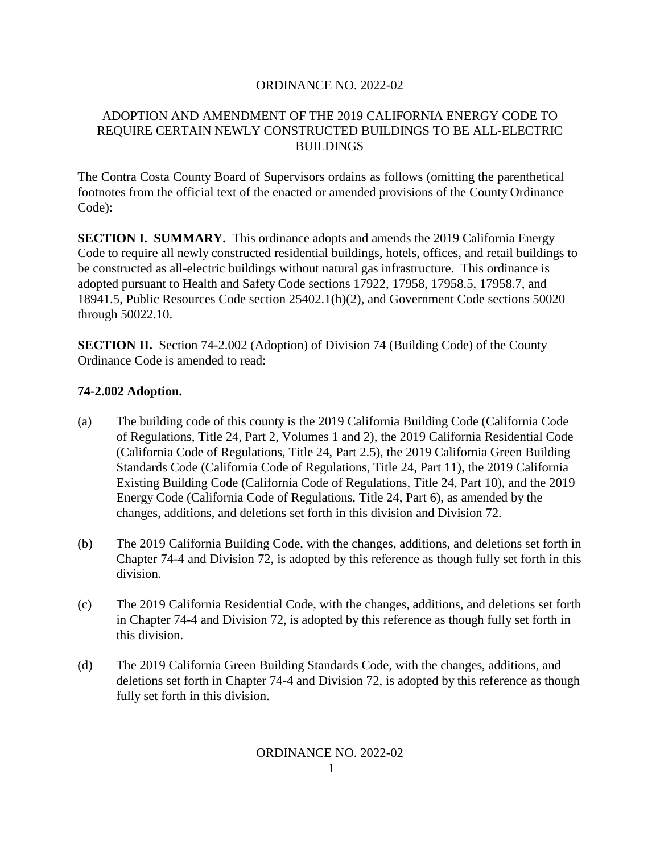#### ORDINANCE NO. 2022-02

### ADOPTION AND AMENDMENT OF THE 2019 CALIFORNIA ENERGY CODE TO REQUIRE CERTAIN NEWLY CONSTRUCTED BUILDINGS TO BE ALL-ELECTRIC BUILDINGS

The Contra Costa County Board of Supervisors ordains as follows (omitting the parenthetical footnotes from the official text of the enacted or amended provisions of the County Ordinance Code):

**SECTION I. SUMMARY.** This ordinance adopts and amends the 2019 California Energy Code to require all newly constructed residential buildings, hotels, offices, and retail buildings to be constructed as all-electric buildings without natural gas infrastructure. This ordinance is adopted pursuant to Health and Safety Code sections 17922, 17958, 17958.5, 17958.7, and 18941.5, Public Resources Code section 25402.1(h)(2), and Government Code sections 50020 through 50022.10.

**SECTION II.** Section 74-2.002 (Adoption) of Division 74 (Building Code) of the County Ordinance Code is amended to read:

### **74-2.002 Adoption.**

- (a) The building code of this county is the 2019 California Building Code (California Code of Regulations, Title 24, Part 2, Volumes 1 and 2), the 2019 California Residential Code (California Code of Regulations, Title 24, Part 2.5), the 2019 California Green Building Standards Code (California Code of Regulations, Title 24, Part 11), the 2019 California Existing Building Code (California Code of Regulations, Title 24, Part 10), and the 2019 Energy Code (California Code of Regulations, Title 24, Part 6), as amended by the changes, additions, and deletions set forth in this division and Division 72.
- (b) The 2019 California Building Code, with the changes, additions, and deletions set forth in Chapter 74-4 and Division 72, is adopted by this reference as though fully set forth in this division.
- (c) The 2019 California Residential Code, with the changes, additions, and deletions set forth in Chapter 74-4 and Division 72, is adopted by this reference as though fully set forth in this division.
- (d) The 2019 California Green Building Standards Code, with the changes, additions, and deletions set forth in Chapter 74-4 and Division 72, is adopted by this reference as though fully set forth in this division.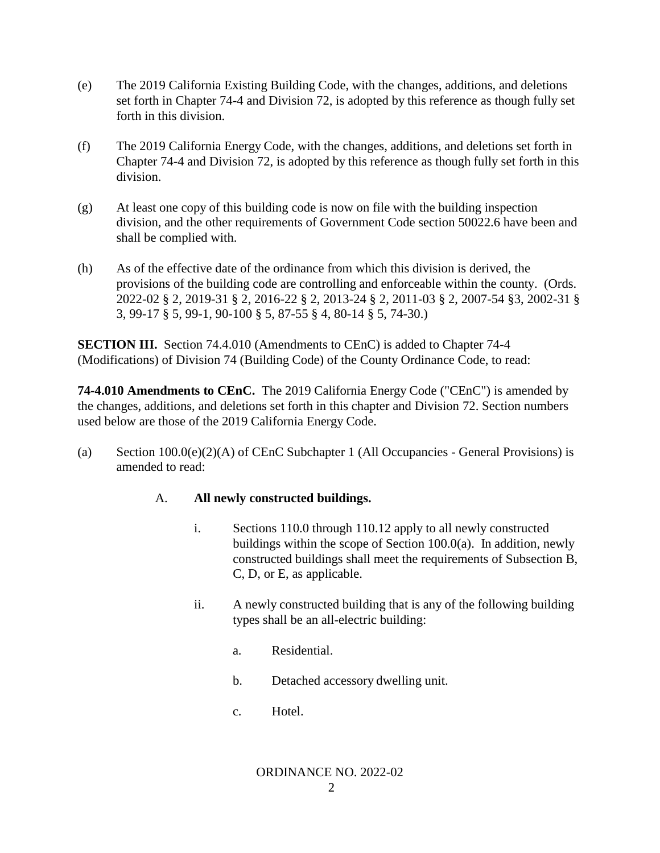- (e) The 2019 California Existing Building Code, with the changes, additions, and deletions set forth in Chapter 74-4 and Division 72, is adopted by this reference as though fully set forth in this division.
- (f) The 2019 California Energy Code, with the changes, additions, and deletions set forth in Chapter 74-4 and Division 72, is adopted by this reference as though fully set forth in this division.
- (g) At least one copy of this building code is now on file with the building inspection division, and the other requirements of Government Code section 50022.6 have been and shall be complied with.
- (h) As of the effective date of the ordinance from which this division is derived, the provisions of the building code are controlling and enforceable within the county. (Ords. 2022-02 § 2, 2019-31 § 2, 2016-22 § 2, 2013-24 § 2, 2011-03 § 2, 2007-54 §3, 2002-31 § 3, 99-17 § 5, 99-1, 90-100 § 5, 87-55 § 4, 80-14 § 5, 74-30.)

**SECTION III.** Section 74.4.010 (Amendments to CEnC) is added to Chapter 74-4 (Modifications) of Division 74 (Building Code) of the County Ordinance Code, to read:

**74-4.010 Amendments to CEnC.** The 2019 California Energy Code ("CEnC") is amended by the changes, additions, and deletions set forth in this chapter and Division 72. Section numbers used below are those of the 2019 California Energy Code.

(a) Section  $100.0(e)(2)(A)$  of CEnC Subchapter 1 (All Occupancies - General Provisions) is amended to read:

# A. **All newly constructed buildings.**

- i. Sections 110.0 through 110.12 apply to all newly constructed buildings within the scope of Section 100.0(a). In addition, newly constructed buildings shall meet the requirements of Subsection B, C, D, or E, as applicable.
- ii. A newly constructed building that is any of the following building types shall be an all-electric building:
	- a. Residential.
	- b. Detached accessory dwelling unit.
	- c. Hotel.

#### ORDINANCE NO. 2022-02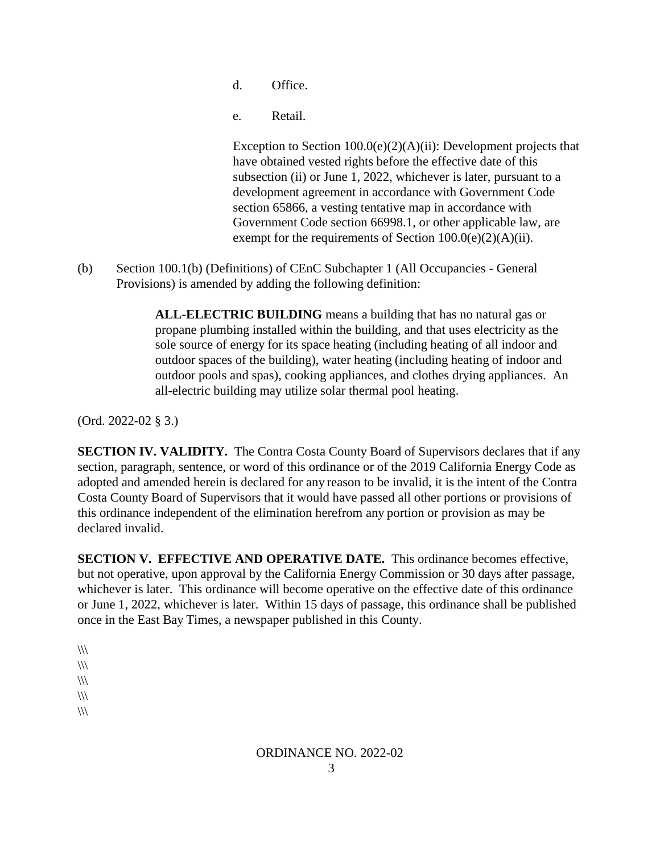- d. Office.
- e. Retail.

Exception to Section 100.0(e)(2)(A)(ii): Development projects that have obtained vested rights before the effective date of this subsection (ii) or June 1, 2022, whichever is later, pursuant to a development agreement in accordance with Government Code section 65866, a vesting tentative map in accordance with Government Code section 66998.1, or other applicable law, are exempt for the requirements of Section  $100.0(e)(2)(A)(ii)$ .

(b) Section 100.1(b) (Definitions) of CEnC Subchapter 1 (All Occupancies - General Provisions) is amended by adding the following definition:

> **ALL-ELECTRIC BUILDING** means a building that has no natural gas or propane plumbing installed within the building, and that uses electricity as the sole source of energy for its space heating (including heating of all indoor and outdoor spaces of the building), water heating (including heating of indoor and outdoor pools and spas), cooking appliances, and clothes drying appliances. An all-electric building may utilize solar thermal pool heating.

(Ord. 2022-02 § 3.)

**SECTION IV. VALIDITY.** The Contra Costa County Board of Supervisors declares that if any section, paragraph, sentence, or word of this ordinance or of the 2019 California Energy Code as adopted and amended herein is declared for any reason to be invalid, it is the intent of the Contra Costa County Board of Supervisors that it would have passed all other portions or provisions of this ordinance independent of the elimination herefrom any portion or provision as may be declared invalid.

**SECTION V. EFFECTIVE AND OPERATIVE DATE.** This ordinance becomes effective, but not operative, upon approval by the California Energy Commission or 30 days after passage, whichever is later. This ordinance will become operative on the effective date of this ordinance or June 1, 2022, whichever is later. Within 15 days of passage, this ordinance shall be published once in the East Bay Times, a newspaper published in this County.

 $\mathcal{W}$  $\mathcal{U}\mathcal{V}$  $\frac{1}{2}$  $\mathcal{W}$  $\mathcal{U}\mathcal{U}$ 

# ORDINANCE NO. 2022-02